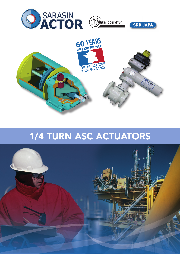



# 1/4 TURN ASC ACTUATORS